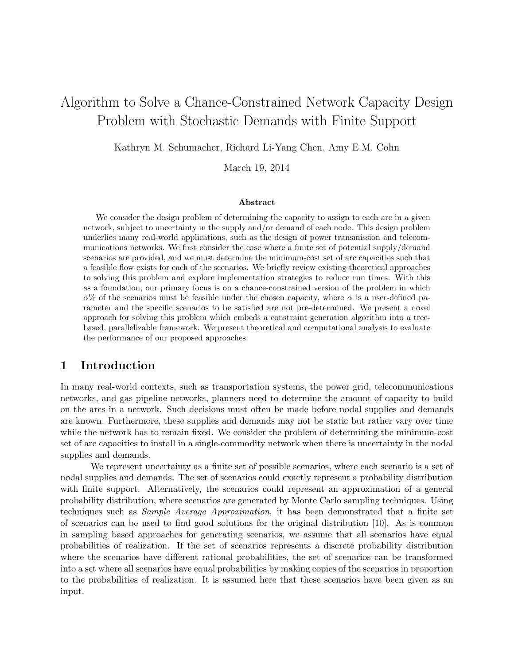# Algorithm to Solve a Chance-Constrained Network Capacity Design Problem with Stochastic Demands with Finite Support

Kathryn M. Schumacher, Richard Li-Yang Chen, Amy E.M. Cohn

March 19, 2014

#### Abstract

We consider the design problem of determining the capacity to assign to each arc in a given network, subject to uncertainty in the supply and/or demand of each node. This design problem underlies many real-world applications, such as the design of power transmission and telecommunications networks. We first consider the case where a finite set of potential supply/demand scenarios are provided, and we must determine the minimum-cost set of arc capacities such that a feasible flow exists for each of the scenarios. We briefly review existing theoretical approaches to solving this problem and explore implementation strategies to reduce run times. With this as a foundation, our primary focus is on a chance-constrained version of the problem in which  $\alpha$ % of the scenarios must be feasible under the chosen capacity, where  $\alpha$  is a user-defined parameter and the specific scenarios to be satisfied are not pre-determined. We present a novel approach for solving this problem which embeds a constraint generation algorithm into a treebased, parallelizable framework. We present theoretical and computational analysis to evaluate the performance of our proposed approaches.

## 1 Introduction

In many real-world contexts, such as transportation systems, the power grid, telecommunications networks, and gas pipeline networks, planners need to determine the amount of capacity to build on the arcs in a network. Such decisions must often be made before nodal supplies and demands are known. Furthermore, these supplies and demands may not be static but rather vary over time while the network has to remain fixed. We consider the problem of determining the minimum-cost set of arc capacities to install in a single-commodity network when there is uncertainty in the nodal supplies and demands.

We represent uncertainty as a finite set of possible scenarios, where each scenario is a set of nodal supplies and demands. The set of scenarios could exactly represent a probability distribution with finite support. Alternatively, the scenarios could represent an approximation of a general probability distribution, where scenarios are generated by Monte Carlo sampling techniques. Using techniques such as Sample Average Approximation, it has been demonstrated that a finite set of scenarios can be used to find good solutions for the original distribution [10]. As is common in sampling based approaches for generating scenarios, we assume that all scenarios have equal probabilities of realization. If the set of scenarios represents a discrete probability distribution where the scenarios have different rational probabilities, the set of scenarios can be transformed into a set where all scenarios have equal probabilities by making copies of the scenarios in proportion to the probabilities of realization. It is assumed here that these scenarios have been given as an input.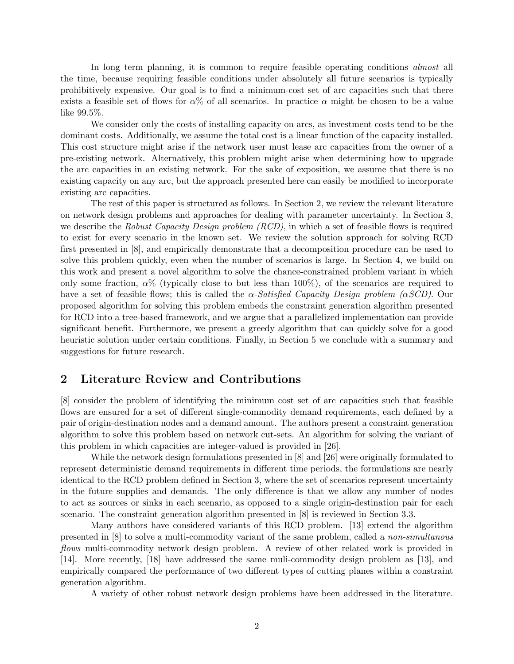In long term planning, it is common to require feasible operating conditions *almost* all the time, because requiring feasible conditions under absolutely all future scenarios is typically prohibitively expensive. Our goal is to find a minimum-cost set of arc capacities such that there exists a feasible set of flows for  $\alpha\%$  of all scenarios. In practice  $\alpha$  might be chosen to be a value like 99.5%.

We consider only the costs of installing capacity on arcs, as investment costs tend to be the dominant costs. Additionally, we assume the total cost is a linear function of the capacity installed. This cost structure might arise if the network user must lease arc capacities from the owner of a pre-existing network. Alternatively, this problem might arise when determining how to upgrade the arc capacities in an existing network. For the sake of exposition, we assume that there is no existing capacity on any arc, but the approach presented here can easily be modified to incorporate existing arc capacities.

The rest of this paper is structured as follows. In Section 2, we review the relevant literature on network design problems and approaches for dealing with parameter uncertainty. In Section 3, we describe the Robust Capacity Design problem (RCD), in which a set of feasible flows is required to exist for every scenario in the known set. We review the solution approach for solving RCD first presented in [8], and empirically demonstrate that a decomposition procedure can be used to solve this problem quickly, even when the number of scenarios is large. In Section 4, we build on this work and present a novel algorithm to solve the chance-constrained problem variant in which only some fraction,  $\alpha$ % (typically close to but less than 100%), of the scenarios are required to have a set of feasible flows; this is called the  $\alpha$ -Satisfied Capacity Design problem ( $\alpha SCD$ ). Our proposed algorithm for solving this problem embeds the constraint generation algorithm presented for RCD into a tree-based framework, and we argue that a parallelized implementation can provide significant benefit. Furthermore, we present a greedy algorithm that can quickly solve for a good heuristic solution under certain conditions. Finally, in Section 5 we conclude with a summary and suggestions for future research.

# 2 Literature Review and Contributions

[8] consider the problem of identifying the minimum cost set of arc capacities such that feasible flows are ensured for a set of different single-commodity demand requirements, each defined by a pair of origin-destination nodes and a demand amount. The authors present a constraint generation algorithm to solve this problem based on network cut-sets. An algorithm for solving the variant of this problem in which capacities are integer-valued is provided in [26].

While the network design formulations presented in [8] and [26] were originally formulated to represent deterministic demand requirements in different time periods, the formulations are nearly identical to the RCD problem defined in Section 3, where the set of scenarios represent uncertainty in the future supplies and demands. The only difference is that we allow any number of nodes to act as sources or sinks in each scenario, as opposed to a single origin-destination pair for each scenario. The constraint generation algorithm presented in [8] is reviewed in Section 3.3.

Many authors have considered variants of this RCD problem. [13] extend the algorithm presented in [8] to solve a multi-commodity variant of the same problem, called a non-simultanous flows multi-commodity network design problem. A review of other related work is provided in [14]. More recently, [18] have addressed the same muli-commodity design problem as [13], and empirically compared the performance of two different types of cutting planes within a constraint generation algorithm.

A variety of other robust network design problems have been addressed in the literature.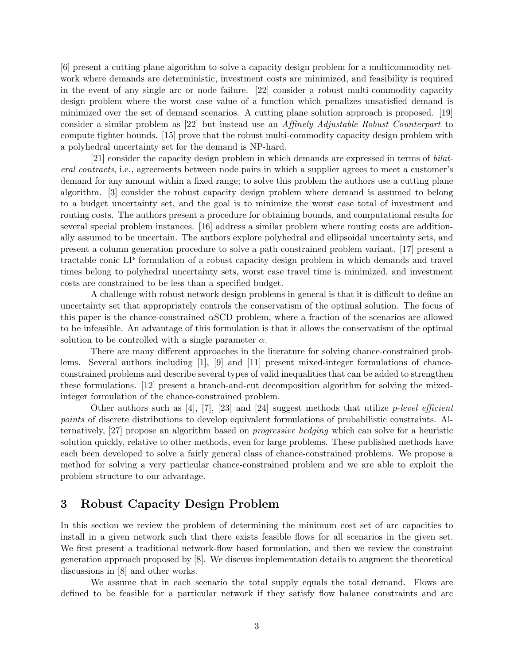[6] present a cutting plane algorithm to solve a capacity design problem for a multicommodity network where demands are deterministic, investment costs are minimized, and feasibility is required in the event of any single arc or node failure. [22] consider a robust multi-commodity capacity design problem where the worst case value of a function which penalizes unsatisfied demand is minimized over the set of demand scenarios. A cutting plane solution approach is proposed. [19] consider a similar problem as [22] but instead use an Affinely Adjustable Robust Counterpart to compute tighter bounds. [15] prove that the robust multi-commodity capacity design problem with a polyhedral uncertainty set for the demand is NP-hard.

[21] consider the capacity design problem in which demands are expressed in terms of bilateral contracts, i.e., agreements between node pairs in which a supplier agrees to meet a customer's demand for any amount within a fixed range; to solve this problem the authors use a cutting plane algorithm. [3] consider the robust capacity design problem where demand is assumed to belong to a budget uncertainty set, and the goal is to minimize the worst case total of investment and routing costs. The authors present a procedure for obtaining bounds, and computational results for several special problem instances. [16] address a similar problem where routing costs are additionally assumed to be uncertain. The authors explore polyhedral and ellipsoidal uncertainty sets, and present a column generation procedure to solve a path constrained problem variant. [17] present a tractable conic LP formulation of a robust capacity design problem in which demands and travel times belong to polyhedral uncertainty sets, worst case travel time is minimized, and investment costs are constrained to be less than a specified budget.

A challenge with robust network design problems in general is that it is difficult to define an uncertainty set that appropriately controls the conservatism of the optimal solution. The focus of this paper is the chance-constrained  $\alpha$ SCD problem, where a fraction of the scenarios are allowed to be infeasible. An advantage of this formulation is that it allows the conservatism of the optimal solution to be controlled with a single parameter  $\alpha$ .

There are many different approaches in the literature for solving chance-constrained problems. Several authors including [1], [9] and [11] present mixed-integer formulations of chanceconstrained problems and describe several types of valid inequalities that can be added to strengthen these formulations. [12] present a branch-and-cut decomposition algorithm for solving the mixedinteger formulation of the chance-constrained problem.

Other authors such as [4], [7], [23] and [24] suggest methods that utilize *p-level efficient* points of discrete distributions to develop equivalent formulations of probabilistic constraints. Alternatively, [27] propose an algorithm based on progressive hedging which can solve for a heuristic solution quickly, relative to other methods, even for large problems. These published methods have each been developed to solve a fairly general class of chance-constrained problems. We propose a method for solving a very particular chance-constrained problem and we are able to exploit the problem structure to our advantage.

# 3 Robust Capacity Design Problem

In this section we review the problem of determining the minimum cost set of arc capacities to install in a given network such that there exists feasible flows for all scenarios in the given set. We first present a traditional network-flow based formulation, and then we review the constraint generation approach proposed by [8]. We discuss implementation details to augment the theoretical discussions in [8] and other works.

We assume that in each scenario the total supply equals the total demand. Flows are defined to be feasible for a particular network if they satisfy flow balance constraints and arc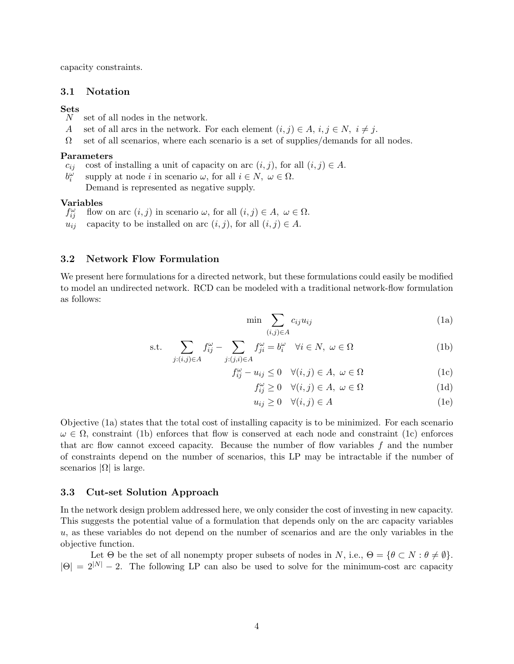capacity constraints.

## 3.1 Notation

# $\frac{\operatorname{Sets}}{N}$

- set of all nodes in the network.
- A set of all arcs in the network. For each element  $(i, j) \in A$ ,  $i, j \in N$ ,  $i \neq j$ .
- $\Omega$  set of all scenarios, where each scenario is a set of supplies/demands for all nodes.

#### Parameters

- $c_{ij}$  cost of installing a unit of capacity on arc  $(i, j)$ , for all  $(i, j) \in A$ .
- $b_i^{\omega}$ supply at node i in scenario  $\omega$ , for all  $i \in N$ ,  $\omega \in \Omega$ . Demand is represented as negative supply.

### Variables

- $f_{ii}^{\omega}$ flow on arc  $(i, j)$  in scenario  $\omega$ , for all  $(i, j) \in A$ ,  $\omega \in \Omega$ .
- $u_{ij}$  capacity to be installed on arc  $(i, j)$ , for all  $(i, j) \in A$ .

## 3.2 Network Flow Formulation

We present here formulations for a directed network, but these formulations could easily be modified to model an undirected network. RCD can be modeled with a traditional network-flow formulation as follows:

$$
\min \sum_{(i,j)\in A} c_{ij} u_{ij} \tag{1a}
$$

s.t. 
$$
\sum_{j:(i,j)\in A} f_{ij}^{\omega} - \sum_{j:(j,i)\in A} f_{ji}^{\omega} = b_i^{\omega} \quad \forall i \in N, \ \omega \in \Omega
$$
 (1b)

$$
f_{ij}^{\omega} - u_{ij} \le 0 \quad \forall (i, j) \in A, \ \omega \in \Omega \tag{1c}
$$

$$
f_{ij}^{\omega} \ge 0 \quad \forall (i,j) \in A, \ \omega \in \Omega \tag{1d}
$$

$$
u_{ij} \ge 0 \quad \forall (i,j) \in A \tag{1e}
$$

Objective (1a) states that the total cost of installing capacity is to be minimized. For each scenario  $\omega \in \Omega$ , constraint (1b) enforces that flow is conserved at each node and constraint (1c) enforces that arc flow cannot exceed capacity. Because the number of flow variables  $f$  and the number of constraints depend on the number of scenarios, this LP may be intractable if the number of scenarios  $|\Omega|$  is large.

## 3.3 Cut-set Solution Approach

In the network design problem addressed here, we only consider the cost of investing in new capacity. This suggests the potential value of a formulation that depends only on the arc capacity variables u, as these variables do not depend on the number of scenarios and are the only variables in the objective function.

Let  $\Theta$  be the set of all nonempty proper subsets of nodes in N, i.e.,  $\Theta = \{ \theta \subset N : \theta \neq \emptyset \}.$  $|\Theta| = 2^{|N|} - 2$ . The following LP can also be used to solve for the minimum-cost arc capacity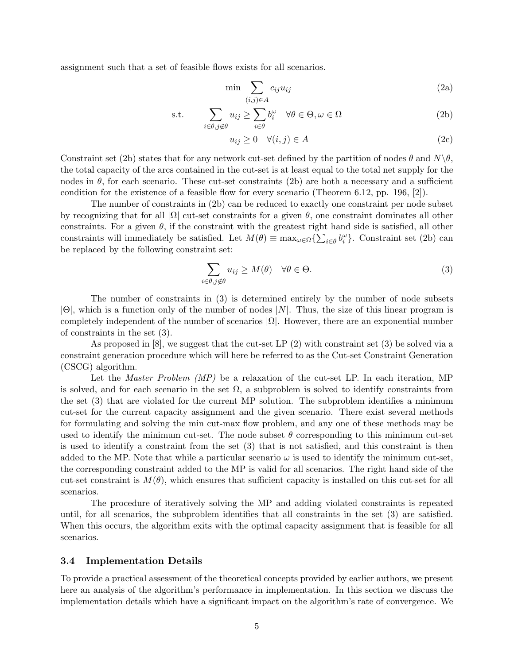assignment such that a set of feasible flows exists for all scenarios.

$$
\min \sum_{(i,j)\in A} c_{ij} u_{ij} \tag{2a}
$$

s.t. 
$$
\sum_{i \in \theta, j \notin \theta} u_{ij} \ge \sum_{i \in \theta} b_i^{\omega} \quad \forall \theta \in \Theta, \omega \in \Omega
$$
 (2b)

$$
u_{ij} \ge 0 \quad \forall (i,j) \in A \tag{2c}
$$

Constraint set (2b) states that for any network cut-set defined by the partition of nodes  $\theta$  and  $N\backslash\theta$ , the total capacity of the arcs contained in the cut-set is at least equal to the total net supply for the nodes in  $\theta$ , for each scenario. These cut-set constraints (2b) are both a necessary and a sufficient condition for the existence of a feasible flow for every scenario (Theorem 6.12, pp. 196, [2]).

The number of constraints in (2b) can be reduced to exactly one constraint per node subset by recognizing that for all  $|\Omega|$  cut-set constraints for a given  $\theta$ , one constraint dominates all other constraints. For a given  $\theta$ , if the constraint with the greatest right hand side is satisfied, all other constraints will immediately be satisfied. Let  $M(\theta) \equiv \max_{\omega \in \Omega} \{ \sum_{i \in \theta} b_i^{\omega} \}$ . Constraint set (2b) can be replaced by the following constraint set:

$$
\sum_{i \in \theta, j \notin \theta} u_{ij} \ge M(\theta) \quad \forall \theta \in \Theta.
$$
 (3)

The number of constraints in (3) is determined entirely by the number of node subsets  $|\Theta|$ , which is a function only of the number of nodes  $|N|$ . Thus, the size of this linear program is completely independent of the number of scenarios  $|\Omega|$ . However, there are an exponential number of constraints in the set (3).

As proposed in  $[8]$ , we suggest that the cut-set LP  $(2)$  with constraint set  $(3)$  be solved via a constraint generation procedure which will here be referred to as the Cut-set Constraint Generation (CSCG) algorithm.

Let the *Master Problem (MP)* be a relaxation of the cut-set LP. In each iteration, MP is solved, and for each scenario in the set  $\Omega$ , a subproblem is solved to identify constraints from the set (3) that are violated for the current MP solution. The subproblem identifies a minimum cut-set for the current capacity assignment and the given scenario. There exist several methods for formulating and solving the min cut-max flow problem, and any one of these methods may be used to identify the minimum cut-set. The node subset  $\theta$  corresponding to this minimum cut-set is used to identify a constraint from the set (3) that is not satisfied, and this constraint is then added to the MP. Note that while a particular scenario  $\omega$  is used to identify the minimum cut-set, the corresponding constraint added to the MP is valid for all scenarios. The right hand side of the cut-set constraint is  $M(\theta)$ , which ensures that sufficient capacity is installed on this cut-set for all scenarios.

The procedure of iteratively solving the MP and adding violated constraints is repeated until, for all scenarios, the subproblem identifies that all constraints in the set (3) are satisfied. When this occurs, the algorithm exits with the optimal capacity assignment that is feasible for all scenarios.

## 3.4 Implementation Details

To provide a practical assessment of the theoretical concepts provided by earlier authors, we present here an analysis of the algorithm's performance in implementation. In this section we discuss the implementation details which have a significant impact on the algorithm's rate of convergence. We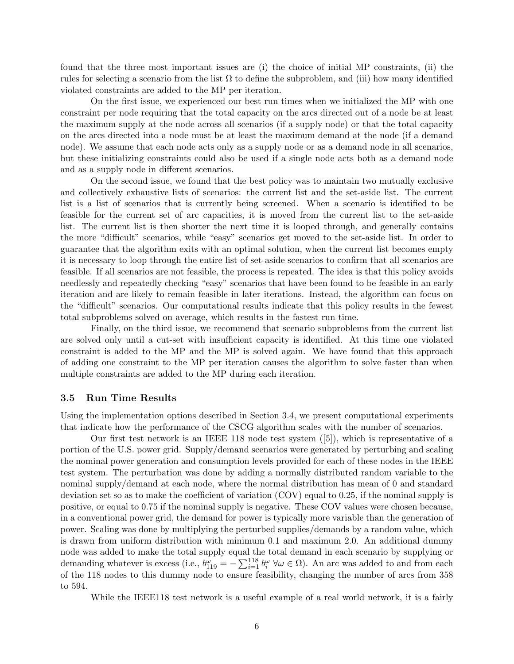found that the three most important issues are (i) the choice of initial MP constraints, (ii) the rules for selecting a scenario from the list  $\Omega$  to define the subproblem, and (iii) how many identified violated constraints are added to the MP per iteration.

On the first issue, we experienced our best run times when we initialized the MP with one constraint per node requiring that the total capacity on the arcs directed out of a node be at least the maximum supply at the node across all scenarios (if a supply node) or that the total capacity on the arcs directed into a node must be at least the maximum demand at the node (if a demand node). We assume that each node acts only as a supply node or as a demand node in all scenarios, but these initializing constraints could also be used if a single node acts both as a demand node and as a supply node in different scenarios.

On the second issue, we found that the best policy was to maintain two mutually exclusive and collectively exhaustive lists of scenarios: the current list and the set-aside list. The current list is a list of scenarios that is currently being screened. When a scenario is identified to be feasible for the current set of arc capacities, it is moved from the current list to the set-aside list. The current list is then shorter the next time it is looped through, and generally contains the more "difficult" scenarios, while "easy" scenarios get moved to the set-aside list. In order to guarantee that the algorithm exits with an optimal solution, when the current list becomes empty it is necessary to loop through the entire list of set-aside scenarios to confirm that all scenarios are feasible. If all scenarios are not feasible, the process is repeated. The idea is that this policy avoids needlessly and repeatedly checking "easy" scenarios that have been found to be feasible in an early iteration and are likely to remain feasible in later iterations. Instead, the algorithm can focus on the "difficult" scenarios. Our computational results indicate that this policy results in the fewest total subproblems solved on average, which results in the fastest run time.

Finally, on the third issue, we recommend that scenario subproblems from the current list are solved only until a cut-set with insufficient capacity is identified. At this time one violated constraint is added to the MP and the MP is solved again. We have found that this approach of adding one constraint to the MP per iteration causes the algorithm to solve faster than when multiple constraints are added to the MP during each iteration.

## 3.5 Run Time Results

Using the implementation options described in Section 3.4, we present computational experiments that indicate how the performance of the CSCG algorithm scales with the number of scenarios.

Our first test network is an IEEE 118 node test system ([5]), which is representative of a portion of the U.S. power grid. Supply/demand scenarios were generated by perturbing and scaling the nominal power generation and consumption levels provided for each of these nodes in the IEEE test system. The perturbation was done by adding a normally distributed random variable to the nominal supply/demand at each node, where the normal distribution has mean of 0 and standard deviation set so as to make the coefficient of variation (COV) equal to 0.25, if the nominal supply is positive, or equal to 0.75 if the nominal supply is negative. These COV values were chosen because, in a conventional power grid, the demand for power is typically more variable than the generation of power. Scaling was done by multiplying the perturbed supplies/demands by a random value, which is drawn from uniform distribution with minimum 0.1 and maximum 2.0. An additional dummy node was added to make the total supply equal the total demand in each scenario by supplying or demanding whatever is excess (i.e.,  $b_{119}^{\omega} = -\sum_{i=1}^{118} b_i^{\omega} \ \forall \omega \in \Omega$ ). An arc was added to and from each of the 118 nodes to this dummy node to ensure feasibility, changing the number of arcs from 358 to 594.

While the IEEE118 test network is a useful example of a real world network, it is a fairly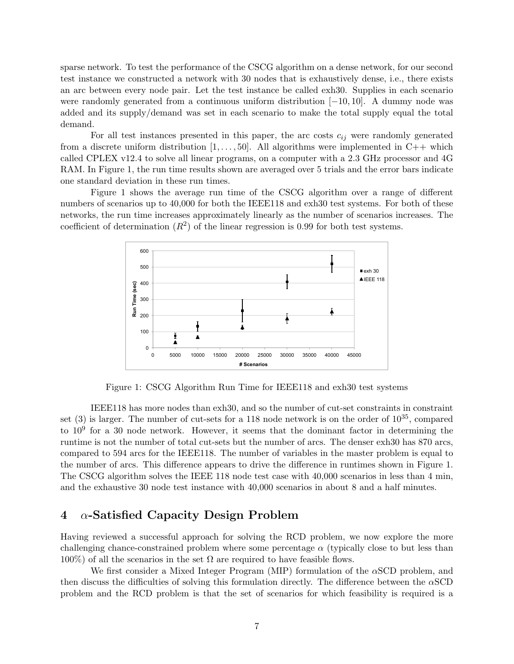sparse network. To test the performance of the CSCG algorithm on a dense network, for our second test instance we constructed a network with 30 nodes that is exhaustively dense, i.e., there exists an arc between every node pair. Let the test instance be called exh30. Supplies in each scenario were randomly generated from a continuous uniform distribution [−10, 10]. A dummy node was added and its supply/demand was set in each scenario to make the total supply equal the total demand.

For all test instances presented in this paper, the arc costs  $c_{ij}$  were randomly generated from a discrete uniform distribution  $[1, \ldots, 50]$ . All algorithms were implemented in C++ which called CPLEX v12.4 to solve all linear programs, on a computer with a 2.3 GHz processor and 4G RAM. In Figure 1, the run time results shown are averaged over 5 trials and the error bars indicate one standard deviation in these run times.

Figure 1 shows the average run time of the CSCG algorithm over a range of different numbers of scenarios up to 40,000 for both the IEEE118 and exh30 test systems. For both of these networks, the run time increases approximately linearly as the number of scenarios increases. The coefficient of determination  $(R^2)$  of the linear regression is 0.99 for both test systems.



Figure 1: CSCG Algorithm Run Time for IEEE118 and exh30 test systems

IEEE118 has more nodes than exh30, and so the number of cut-set constraints in constraint set  $(3)$  is larger. The number of cut-sets for a 118 node network is on the order of  $10^{35}$ , compared to  $10<sup>9</sup>$  for a 30 node network. However, it seems that the dominant factor in determining the runtime is not the number of total cut-sets but the number of arcs. The denser exh30 has 870 arcs, compared to 594 arcs for the IEEE118. The number of variables in the master problem is equal to the number of arcs. This difference appears to drive the difference in runtimes shown in Figure 1. The CSCG algorithm solves the IEEE 118 node test case with 40,000 scenarios in less than 4 min, and the exhaustive 30 node test instance with 40,000 scenarios in about 8 and a half minutes.

## 4 α-Satisfied Capacity Design Problem

Having reviewed a successful approach for solving the RCD problem, we now explore the more challenging chance-constrained problem where some percentage  $\alpha$  (typically close to but less than  $100\%$ ) of all the scenarios in the set  $\Omega$  are required to have feasible flows.

We first consider a Mixed Integer Program (MIP) formulation of the αSCD problem, and then discuss the difficulties of solving this formulation directly. The difference between the  $\alpha$ SCD problem and the RCD problem is that the set of scenarios for which feasibility is required is a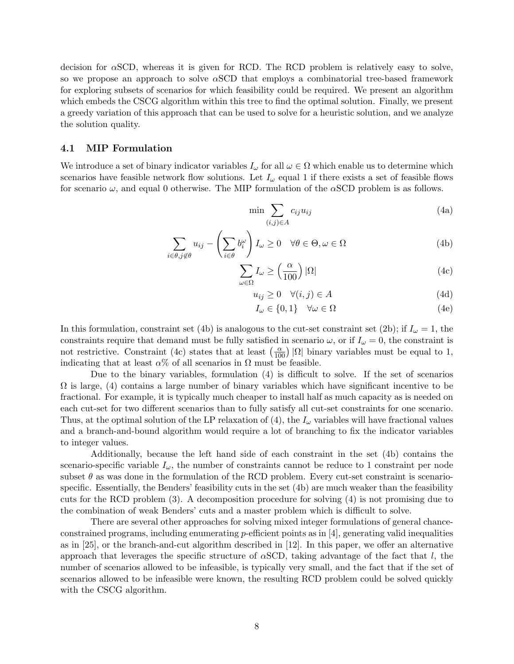decision for  $\alpha$ SCD, whereas it is given for RCD. The RCD problem is relatively easy to solve, so we propose an approach to solve  $\alpha$ SCD that employs a combinatorial tree-based framework for exploring subsets of scenarios for which feasibility could be required. We present an algorithm which embeds the CSCG algorithm within this tree to find the optimal solution. Finally, we present a greedy variation of this approach that can be used to solve for a heuristic solution, and we analyze the solution quality.

## 4.1 MIP Formulation

We introduce a set of binary indicator variables  $I_{\omega}$  for all  $\omega \in \Omega$  which enable us to determine which scenarios have feasible network flow solutions. Let  $I_{\omega}$  equal 1 if there exists a set of feasible flows for scenario  $\omega$ , and equal 0 otherwise. The MIP formulation of the  $\alpha$ SCD problem is as follows.

$$
\min \sum_{(i,j)\in A} c_{ij} u_{ij} \tag{4a}
$$

$$
\sum_{i \in \theta, j \notin \theta} u_{ij} - \left(\sum_{i \in \theta} b_i^{\omega}\right) I_{\omega} \ge 0 \quad \forall \theta \in \Theta, \omega \in \Omega \tag{4b}
$$

$$
\sum_{\omega \in \Omega} I_{\omega} \ge \left(\frac{\alpha}{100}\right) |\Omega| \tag{4c}
$$

$$
u_{ij} \ge 0 \quad \forall (i,j) \in A \tag{4d}
$$

$$
I_{\omega} \in \{0, 1\} \quad \forall \omega \in \Omega \tag{4e}
$$

In this formulation, constraint set (4b) is analogous to the cut-set constraint set (2b); if  $I_\omega = 1$ , the constraints require that demand must be fully satisfied in scenario  $\omega$ , or if  $I_{\omega} = 0$ , the constraint is not restrictive. Constraint (4c) states that at least  $\left(\frac{\alpha}{100}\right) |\Omega|$  binary variables must be equal to 1, indicating that at least  $\alpha$ % of all scenarios in  $\Omega$  must be feasible.

Due to the binary variables, formulation (4) is difficult to solve. If the set of scenarios  $\Omega$  is large, (4) contains a large number of binary variables which have significant incentive to be fractional. For example, it is typically much cheaper to install half as much capacity as is needed on each cut-set for two different scenarios than to fully satisfy all cut-set constraints for one scenario. Thus, at the optimal solution of the LP relaxation of (4), the  $I_{\omega}$  variables will have fractional values and a branch-and-bound algorithm would require a lot of branching to fix the indicator variables to integer values.

Additionally, because the left hand side of each constraint in the set (4b) contains the scenario-specific variable  $I_{\omega}$ , the number of constraints cannot be reduce to 1 constraint per node subset  $\theta$  as was done in the formulation of the RCD problem. Every cut-set constraint is scenariospecific. Essentially, the Benders' feasibility cuts in the set (4b) are much weaker than the feasibility cuts for the RCD problem (3). A decomposition procedure for solving (4) is not promising due to the combination of weak Benders' cuts and a master problem which is difficult to solve.

There are several other approaches for solving mixed integer formulations of general chanceconstrained programs, including enumerating p-efficient points as in  $[4]$ , generating valid inequalities as in [25], or the branch-and-cut algorithm described in [12]. In this paper, we offer an alternative approach that leverages the specific structure of  $\alpha$ SCD, taking advantage of the fact that l, the number of scenarios allowed to be infeasible, is typically very small, and the fact that if the set of scenarios allowed to be infeasible were known, the resulting RCD problem could be solved quickly with the CSCG algorithm.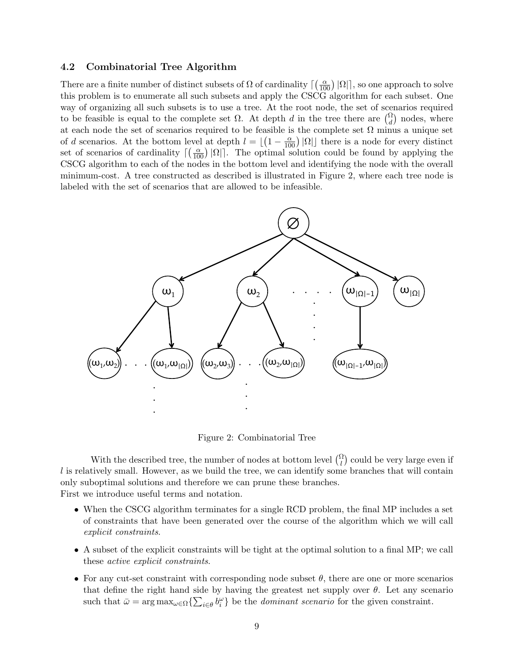## 4.2 Combinatorial Tree Algorithm

There are a finite number of distinct subsets of  $\Omega$  of cardinality  $\lceil \left(\frac{\alpha}{100}\right) |\Omega| \rceil$ , so one approach to solve this problem is to enumerate all such subsets and apply the CSCG algorithm for each subset. One way of organizing all such subsets is to use a tree. At the root node, the set of scenarios required to be feasible is equal to the complete set  $\Omega$ . At depth d in the tree there are  $\binom{\Omega}{d}$  nodes, where at each node the set of scenarios required to be feasible is the complete set  $\Omega$  minus a unique set of d scenarios. At the bottom level at depth  $l = \lfloor (1 - \frac{\alpha}{100}) |\Omega| \rfloor$  there is a node for every distinct set of scenarios of cardinality  $\lceil \left( \frac{\alpha}{100} \right) | \Omega | \rceil$ . The optimal solution could be found by applying the CSCG algorithm to each of the nodes in the bottom level and identifying the node with the overall minimum-cost. A tree constructed as described is illustrated in Figure 2, where each tree node is labeled with the set of scenarios that are allowed to be infeasible.



Figure 2: Combinatorial Tree

With the described tree, the number of nodes at bottom level  $\binom{\Omega}{l}$  could be very large even if  $l$  is relatively small. However, as we build the tree, we can identify some branches that will contain only suboptimal solutions and therefore we can prune these branches. First we introduce useful terms and notation.

- When the CSCG algorithm terminates for a single RCD problem, the final MP includes a set of constraints that have been generated over the course of the algorithm which we will call explicit constraints.
- A subset of the explicit constraints will be tight at the optimal solution to a final MP; we call these active explicit constraints.
- For any cut-set constraint with corresponding node subset  $\theta$ , there are one or more scenarios that define the right hand side by having the greatest net supply over  $\theta$ . Let any scenario such that  $\bar{\omega} = \arg \max_{\omega \in \Omega} \{ \sum_{i \in \theta} b_i^{\omega} \}$  be the *dominant scenario* for the given constraint.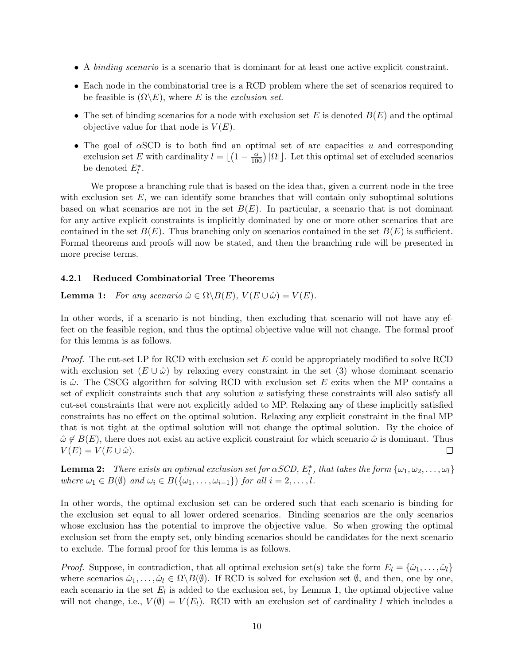- A binding scenario is a scenario that is dominant for at least one active explicit constraint.
- Each node in the combinatorial tree is a RCD problem where the set of scenarios required to be feasible is  $(\Omega \backslash E)$ , where E is the *exclusion set*.
- The set of binding scenarios for a node with exclusion set E is denoted  $B(E)$  and the optimal objective value for that node is  $V(E)$ .
- The goal of  $\alpha$ SCD is to both find an optimal set of arc capacities u and corresponding exclusion set E with cardinality  $l = \lfloor (1 - \frac{\alpha}{100}) |\Omega| \rfloor$ . Let this optimal set of excluded scenarios be denoted  $E_l^*$ .

We propose a branching rule that is based on the idea that, given a current node in the tree with exclusion set  $E$ , we can identify some branches that will contain only suboptimal solutions based on what scenarios are not in the set  $B(E)$ . In particular, a scenario that is not dominant for any active explicit constraints is implicitly dominated by one or more other scenarios that are contained in the set  $B(E)$ . Thus branching only on scenarios contained in the set  $B(E)$  is sufficient. Formal theorems and proofs will now be stated, and then the branching rule will be presented in more precise terms.

## 4.2.1 Reduced Combinatorial Tree Theorems

**Lemma 1:** For any scenario  $\hat{\omega} \in \Omega \backslash B(E)$ ,  $V(E \cup \hat{\omega}) = V(E)$ .

In other words, if a scenario is not binding, then excluding that scenario will not have any effect on the feasible region, and thus the optimal objective value will not change. The formal proof for this lemma is as follows.

*Proof.* The cut-set LP for RCD with exclusion set E could be appropriately modified to solve RCD with exclusion set  $(E \cup \hat{\omega})$  by relaxing every constraint in the set (3) whose dominant scenario is  $\hat{\omega}$ . The CSCG algorithm for solving RCD with exclusion set E exits when the MP contains a set of explicit constraints such that any solution u satisfying these constraints will also satisfy all cut-set constraints that were not explicitly added to MP. Relaxing any of these implicitly satisfied constraints has no effect on the optimal solution. Relaxing any explicit constraint in the final MP that is not tight at the optimal solution will not change the optimal solution. By the choice of  $\hat{\omega} \notin B(E)$ , there does not exist an active explicit constraint for which scenario  $\hat{\omega}$  is dominant. Thus  $V(E) = V(E \cup \hat{\omega}).$  $\Box$ 

**Lemma 2:** There exists an optimal exclusion set for  $\alpha SCD$ ,  $E_l^*$ , that takes the form  $\{\omega_1, \omega_2, \dots, \omega_l\}$ where  $\omega_1 \in B(\emptyset)$  and  $\omega_i \in B(\{\omega_1, \ldots, \omega_{i-1}\})$  for all  $i = 2, \ldots, l$ .

In other words, the optimal exclusion set can be ordered such that each scenario is binding for the exclusion set equal to all lower ordered scenarios. Binding scenarios are the only scenarios whose exclusion has the potential to improve the objective value. So when growing the optimal exclusion set from the empty set, only binding scenarios should be candidates for the next scenario to exclude. The formal proof for this lemma is as follows.

*Proof.* Suppose, in contradiction, that all optimal exclusion set(s) take the form  $E_l = {\hat{\omega}_1, \dots, \hat{\omega}_l}$ where scenarios  $\hat{\omega}_1, \ldots, \hat{\omega}_l \in \Omega \backslash B(\emptyset)$ . If RCD is solved for exclusion set  $\emptyset$ , and then, one by one, each scenario in the set  $E_l$  is added to the exclusion set, by Lemma 1, the optimal objective value will not change, i.e.,  $V(\emptyset) = V(E_l)$ . RCD with an exclusion set of cardinality l which includes a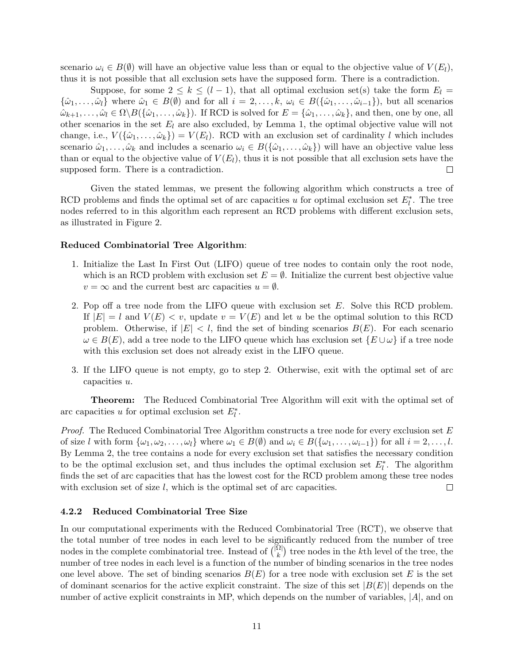scenario  $\omega_i \in B(\emptyset)$  will have an objective value less than or equal to the objective value of  $V(E_l)$ , thus it is not possible that all exclusion sets have the supposed form. There is a contradiction.

Suppose, for some  $2 \leq k \leq (l-1)$ , that all optimal exclusion set(s) take the form  $E_l =$  $\{\hat{\omega}_1,\ldots,\hat{\omega}_l\}$  where  $\hat{\omega}_1 \in B(\emptyset)$  and for all  $i = 2,\ldots,k$ ,  $\omega_i \in B(\{\hat{\omega}_1,\ldots,\hat{\omega}_{i-1}\})$ , but all scenarios  $\hat{\omega}_{k+1}, \ldots, \hat{\omega}_l \in \Omega \setminus B(\{\hat{\omega}_1, \ldots, \hat{\omega}_k\})$ . If RCD is solved for  $E = \{\hat{\omega}_1, \ldots, \hat{\omega}_k\}$ , and then, one by one, all other scenarios in the set  $E_l$  are also excluded, by Lemma 1, the optimal objective value will not change, i.e.,  $V(\{\hat{\omega}_1,\ldots,\hat{\omega}_k\})=V(E_l)$ . RCD with an exclusion set of cardinality l which includes scenario  $\hat{\omega}_1, \ldots, \hat{\omega}_k$  and includes a scenario  $\omega_i \in B(\{\hat{\omega}_1, \ldots, \hat{\omega}_k\})$  will have an objective value less than or equal to the objective value of  $V(E_l)$ , thus it is not possible that all exclusion sets have the supposed form. There is a contradiction.  $\Box$ 

Given the stated lemmas, we present the following algorithm which constructs a tree of RCD problems and finds the optimal set of arc capacities u for optimal exclusion set  $E_l^*$ . The tree nodes referred to in this algorithm each represent an RCD problems with different exclusion sets, as illustrated in Figure 2.

#### Reduced Combinatorial Tree Algorithm:

- 1. Initialize the Last In First Out (LIFO) queue of tree nodes to contain only the root node, which is an RCD problem with exclusion set  $E = \emptyset$ . Initialize the current best objective value  $v = \infty$  and the current best arc capacities  $u = \emptyset$ .
- 2. Pop off a tree node from the LIFO queue with exclusion set  $E$ . Solve this RCD problem. If  $|E| = l$  and  $V(E) < v$ , update  $v = V(E)$  and let u be the optimal solution to this RCD problem. Otherwise, if  $|E| < l$ , find the set of binding scenarios  $B(E)$ . For each scenario  $\omega \in B(E)$ , add a tree node to the LIFO queue which has exclusion set  $\{E \cup \omega\}$  if a tree node with this exclusion set does not already exist in the LIFO queue.
- 3. If the LIFO queue is not empty, go to step 2. Otherwise, exit with the optimal set of arc capacities u.

Theorem: The Reduced Combinatorial Tree Algorithm will exit with the optimal set of arc capacities u for optimal exclusion set  $E_l^*$ .

*Proof.* The Reduced Combinatorial Tree Algorithm constructs a tree node for every exclusion set  $E$ of size l with form  $\{\omega_1, \omega_2, \ldots, \omega_l\}$  where  $\omega_1 \in B(\emptyset)$  and  $\omega_i \in B(\{\omega_1, \ldots, \omega_{i-1}\})$  for all  $i = 2, \ldots, l$ . By Lemma 2, the tree contains a node for every exclusion set that satisfies the necessary condition to be the optimal exclusion set, and thus includes the optimal exclusion set  $E_l^*$ . The algorithm finds the set of arc capacities that has the lowest cost for the RCD problem among these tree nodes with exclusion set of size  $l$ , which is the optimal set of arc capacities.  $\Box$ 

## 4.2.2 Reduced Combinatorial Tree Size

In our computational experiments with the Reduced Combinatorial Tree (RCT), we observe that the total number of tree nodes in each level to be significantly reduced from the number of tree nodes in the complete combinatorial tree. Instead of  $\binom{|\Omega|}{k}$  $\binom{\Omega}{k}$  tree nodes in the k<sup>th</sup> level of the tree, the number of tree nodes in each level is a function of the number of binding scenarios in the tree nodes one level above. The set of binding scenarios  $B(E)$  for a tree node with exclusion set E is the set of dominant scenarios for the active explicit constraint. The size of this set  $|B(E)|$  depends on the number of active explicit constraints in MP, which depends on the number of variables,  $|A|$ , and on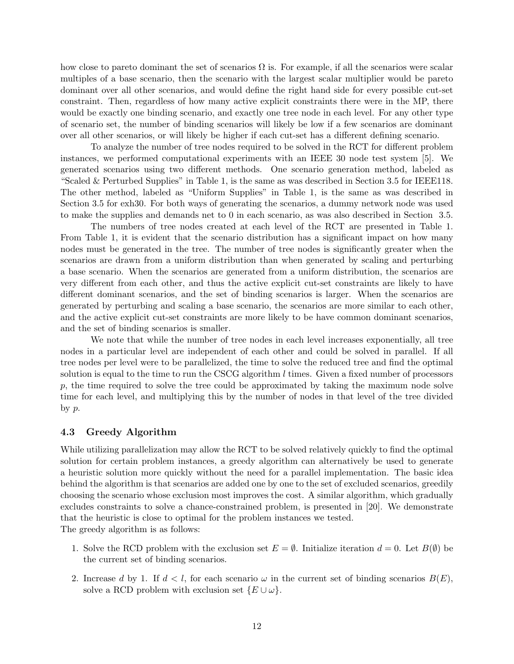how close to pareto dominant the set of scenarios  $\Omega$  is. For example, if all the scenarios were scalar multiples of a base scenario, then the scenario with the largest scalar multiplier would be pareto dominant over all other scenarios, and would define the right hand side for every possible cut-set constraint. Then, regardless of how many active explicit constraints there were in the MP, there would be exactly one binding scenario, and exactly one tree node in each level. For any other type of scenario set, the number of binding scenarios will likely be low if a few scenarios are dominant over all other scenarios, or will likely be higher if each cut-set has a different defining scenario.

To analyze the number of tree nodes required to be solved in the RCT for different problem instances, we performed computational experiments with an IEEE 30 node test system [5]. We generated scenarios using two different methods. One scenario generation method, labeled as "Scaled & Perturbed Supplies" in Table 1, is the same as was described in Section 3.5 for IEEE118. The other method, labeled as "Uniform Supplies" in Table 1, is the same as was described in Section 3.5 for exh30. For both ways of generating the scenarios, a dummy network node was used to make the supplies and demands net to 0 in each scenario, as was also described in Section 3.5.

The numbers of tree nodes created at each level of the RCT are presented in Table 1. From Table 1, it is evident that the scenario distribution has a significant impact on how many nodes must be generated in the tree. The number of tree nodes is significantly greater when the scenarios are drawn from a uniform distribution than when generated by scaling and perturbing a base scenario. When the scenarios are generated from a uniform distribution, the scenarios are very different from each other, and thus the active explicit cut-set constraints are likely to have different dominant scenarios, and the set of binding scenarios is larger. When the scenarios are generated by perturbing and scaling a base scenario, the scenarios are more similar to each other, and the active explicit cut-set constraints are more likely to be have common dominant scenarios, and the set of binding scenarios is smaller.

We note that while the number of tree nodes in each level increases exponentially, all tree nodes in a particular level are independent of each other and could be solved in parallel. If all tree nodes per level were to be parallelized, the time to solve the reduced tree and find the optimal solution is equal to the time to run the CSCG algorithm  $l$  times. Given a fixed number of processors p, the time required to solve the tree could be approximated by taking the maximum node solve time for each level, and multiplying this by the number of nodes in that level of the tree divided by  $p$ .

## 4.3 Greedy Algorithm

While utilizing parallelization may allow the RCT to be solved relatively quickly to find the optimal solution for certain problem instances, a greedy algorithm can alternatively be used to generate a heuristic solution more quickly without the need for a parallel implementation. The basic idea behind the algorithm is that scenarios are added one by one to the set of excluded scenarios, greedily choosing the scenario whose exclusion most improves the cost. A similar algorithm, which gradually excludes constraints to solve a chance-constrained problem, is presented in [20]. We demonstrate that the heuristic is close to optimal for the problem instances we tested. The greedy algorithm is as follows:

- 1. Solve the RCD problem with the exclusion set  $E = \emptyset$ . Initialize iteration  $d = 0$ . Let  $B(\emptyset)$  be the current set of binding scenarios.
- 2. Increase d by 1. If  $d < l$ , for each scenario  $\omega$  in the current set of binding scenarios  $B(E)$ , solve a RCD problem with exclusion set  $\{E \cup \omega\}.$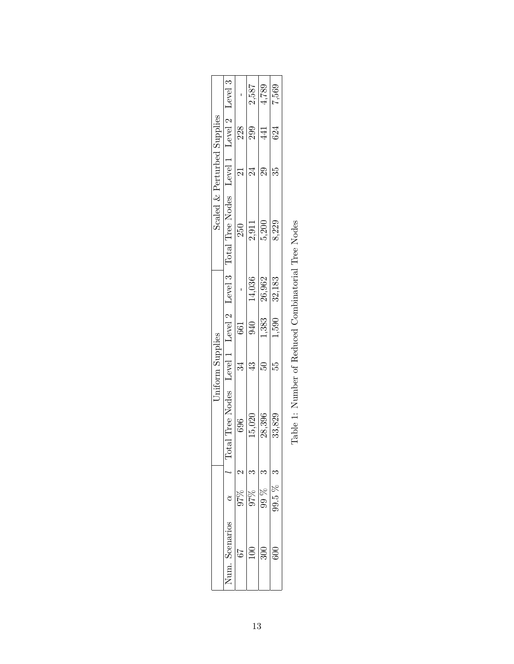|                                                                                                                                                                           |                                  |     | 2,587                    | 4,789                   | 7,569  |  |
|---------------------------------------------------------------------------------------------------------------------------------------------------------------------------|----------------------------------|-----|--------------------------|-------------------------|--------|--|
|                                                                                                                                                                           |                                  | 228 | 299                      | 441                     | 624    |  |
|                                                                                                                                                                           |                                  | 21  | $\overline{\mathcal{C}}$ | $\overline{29}$         | 35     |  |
| $\begin{array}{llll} \text{Scaled} \ \& \ \text{Perturbed \ \text{Supplies}} \\ \text{ee \ \text{Nodes} } & \text{Level 1} & \text{Level 2} & \text{Level 3} \end{array}$ | Level 3 Total Tree Nodes Level 1 | 250 | 2,911                    | 5,200                   | 8,229  |  |
|                                                                                                                                                                           |                                  |     |                          | $\frac{14,036}{26,962}$ | 32,183 |  |
| <b>Jniform Supplies</b>                                                                                                                                                   |                                  | 661 | 940                      | 1,383                   | 1,590  |  |
|                                                                                                                                                                           |                                  | 34  | $\mathfrak{Y}$           | $\Omega$                | 55     |  |
|                                                                                                                                                                           | Total Tree Nodes Level 1 Level 2 | 696 | 15,020                   | 28,396                  | 33,829 |  |
|                                                                                                                                                                           |                                  |     |                          |                         |        |  |
|                                                                                                                                                                           |                                  | 27% | 97%                      | 99 %                    | 99.5 % |  |
|                                                                                                                                                                           | Scenarios<br>lum.                |     |                          | 300                     | 600    |  |

| į<br>j                     |
|----------------------------|
| í<br>l<br>I                |
| ו<br>ו<br>ı<br>l           |
| l<br>Ì                     |
|                            |
| l<br>ī<br>l<br>I           |
| ļ<br>l<br>Ï<br>ı<br>I<br>ı |
|                            |
| l                          |
| J<br>l                     |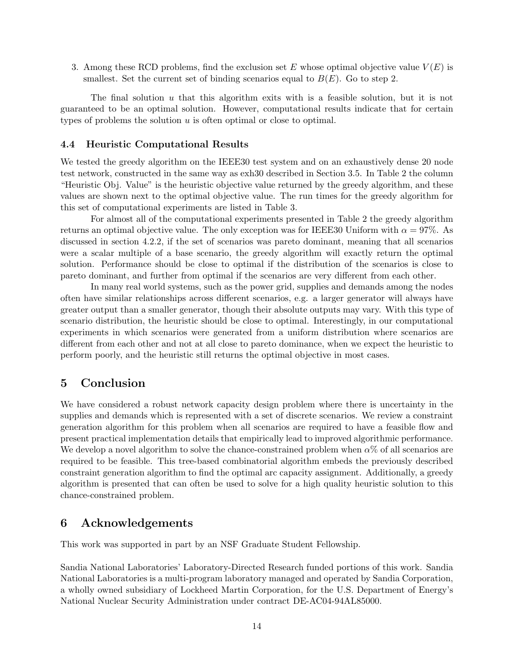3. Among these RCD problems, find the exclusion set E whose optimal objective value  $V(E)$  is smallest. Set the current set of binding scenarios equal to  $B(E)$ . Go to step 2.

The final solution  $u$  that this algorithm exits with is a feasible solution, but it is not guaranteed to be an optimal solution. However, computational results indicate that for certain types of problems the solution u is often optimal or close to optimal.

## 4.4 Heuristic Computational Results

We tested the greedy algorithm on the IEEE30 test system and on an exhaustively dense 20 node test network, constructed in the same way as exh30 described in Section 3.5. In Table 2 the column "Heuristic Obj. Value" is the heuristic objective value returned by the greedy algorithm, and these values are shown next to the optimal objective value. The run times for the greedy algorithm for this set of computational experiments are listed in Table 3.

For almost all of the computational experiments presented in Table 2 the greedy algorithm returns an optimal objective value. The only exception was for IEEE30 Uniform with  $\alpha = 97\%$ . As discussed in section 4.2.2, if the set of scenarios was pareto dominant, meaning that all scenarios were a scalar multiple of a base scenario, the greedy algorithm will exactly return the optimal solution. Performance should be close to optimal if the distribution of the scenarios is close to pareto dominant, and further from optimal if the scenarios are very different from each other.

In many real world systems, such as the power grid, supplies and demands among the nodes often have similar relationships across different scenarios, e.g. a larger generator will always have greater output than a smaller generator, though their absolute outputs may vary. With this type of scenario distribution, the heuristic should be close to optimal. Interestingly, in our computational experiments in which scenarios were generated from a uniform distribution where scenarios are different from each other and not at all close to pareto dominance, when we expect the heuristic to perform poorly, and the heuristic still returns the optimal objective in most cases.

## 5 Conclusion

We have considered a robust network capacity design problem where there is uncertainty in the supplies and demands which is represented with a set of discrete scenarios. We review a constraint generation algorithm for this problem when all scenarios are required to have a feasible flow and present practical implementation details that empirically lead to improved algorithmic performance. We develop a novel algorithm to solve the chance-constrained problem when  $\alpha$ % of all scenarios are required to be feasible. This tree-based combinatorial algorithm embeds the previously described constraint generation algorithm to find the optimal arc capacity assignment. Additionally, a greedy algorithm is presented that can often be used to solve for a high quality heuristic solution to this chance-constrained problem.

## 6 Acknowledgements

This work was supported in part by an NSF Graduate Student Fellowship.

Sandia National Laboratories' Laboratory-Directed Research funded portions of this work. Sandia National Laboratories is a multi-program laboratory managed and operated by Sandia Corporation, a wholly owned subsidiary of Lockheed Martin Corporation, for the U.S. Department of Energy's National Nuclear Security Administration under contract DE-AC04-94AL85000.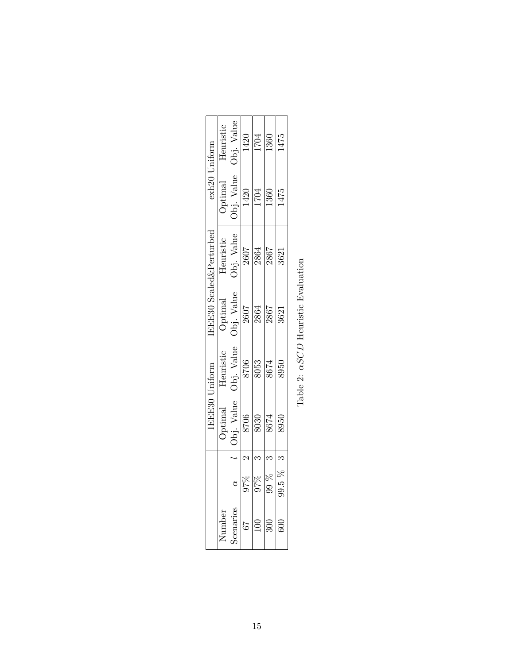|          |                    |                                                                                                                         | IEEE30 Uniform                                                          |                                                                                                                                                           | EEE30 Scaled&Perturbed                                  | exh20 Uniform         |                                 |
|----------|--------------------|-------------------------------------------------------------------------------------------------------------------------|-------------------------------------------------------------------------|-----------------------------------------------------------------------------------------------------------------------------------------------------------|---------------------------------------------------------|-----------------------|---------------------------------|
| Jumber   |                    |                                                                                                                         | Heuristic                                                               |                                                                                                                                                           |                                                         |                       |                                 |
| cenarios | ð                  | $\begin{array}{c} {\rm Optimal} \\ {\rm Obj.~Value} \\ \hline 8706 \\ \hline 8030 \\ \hline 8674 \\ \hline \end{array}$ |                                                                         | $\begin{tabular}{c}Optimal \\ \hline \multicolumn{1}{c}{Optimal} \\ \multicolumn{1}{c}{Obi. Value} \\ \hline 2607 \\ \hline 2864 \\ \hline \end{tabular}$ | Heuristic<br>Obj. Value<br>2607<br>2867<br>2867<br>3621 | Optimal<br>Obj. Value | Value<br>Heuristic<br>Obj. Valu |
| 67       |                    |                                                                                                                         |                                                                         |                                                                                                                                                           |                                                         |                       |                                 |
| 100      | $\frac{866}{2560}$ |                                                                                                                         | $\frac{\text{Obj. Value}}{\text{8706}} \frac{\text{8706}}{\text{8053}}$ |                                                                                                                                                           |                                                         | $\frac{1420}{1704}$   | $\frac{1420}{1704}$             |
| 300      |                    |                                                                                                                         |                                                                         |                                                                                                                                                           |                                                         |                       |                                 |
| 600      | $99.5\%$           | 8950                                                                                                                    |                                                                         | 3621                                                                                                                                                      |                                                         | 1475                  | 1475                            |
|          |                    |                                                                                                                         |                                                                         |                                                                                                                                                           |                                                         |                       |                                 |

Table 2:  $\alpha SCD$  Heuristic Evaluation Table 2:  $\alpha SCD$  Heuristic Evaluation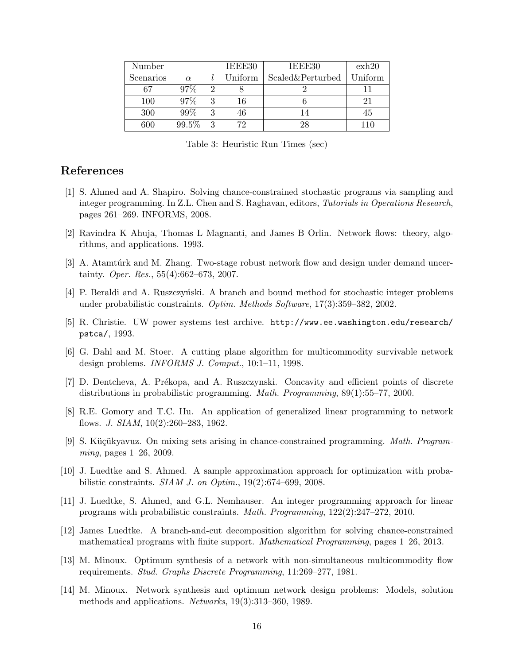| Number    |          |   | IEEE30   | IEEE30           | exh20   |
|-----------|----------|---|----------|------------------|---------|
| Scenarios | $\alpha$ |   | Uniform- | Scaled&Perturbed | Uniform |
| 67        | 97%      |   |          |                  |         |
| 100       | 97%      |   | 16       |                  | 21      |
| 300       | $99\%$   |   |          |                  | 45      |
| 600       | 99.5%    | २ | 70       |                  |         |

Table 3: Heuristic Run Times (sec)

# References

- [1] S. Ahmed and A. Shapiro. Solving chance-constrained stochastic programs via sampling and integer programming. In Z.L. Chen and S. Raghavan, editors, Tutorials in Operations Research, pages 261–269. INFORMS, 2008.
- [2] Ravindra K Ahuja, Thomas L Magnanti, and James B Orlin. Network flows: theory, algorithms, and applications. 1993.
- [3] A. Atamtúrk and M. Zhang. Two-stage robust network flow and design under demand uncertainty. Oper. Res., 55(4):662–673, 2007.
- [4] P. Beraldi and A. Ruszczynski. A branch and bound method for stochastic integer problems under probabilistic constraints. Optim. Methods Software, 17(3):359–382, 2002.
- [5] R. Christie. UW power systems test archive. http://www.ee.washington.edu/research/ pstca/, 1993.
- [6] G. Dahl and M. Stoer. A cutting plane algorithm for multicommodity survivable network design problems. INFORMS J. Comput., 10:1–11, 1998.
- [7] D. Dentcheva, A. Prékopa, and A. Ruszczynski. Concavity and efficient points of discrete distributions in probabilistic programming. Math. Programming, 89(1):55–77, 2000.
- [8] R.E. Gomory and T.C. Hu. An application of generalized linear programming to network flows. J. SIAM, 10(2):260–283, 1962.
- [9] S. Küçükyavuz. On mixing sets arising in chance-constrained programming. Math. Programming, pages 1–26, 2009.
- [10] J. Luedtke and S. Ahmed. A sample approximation approach for optimization with probabilistic constraints. SIAM J. on Optim., 19(2):674–699, 2008.
- [11] J. Luedtke, S. Ahmed, and G.L. Nemhauser. An integer programming approach for linear programs with probabilistic constraints. Math. Programming, 122(2):247–272, 2010.
- [12] James Luedtke. A branch-and-cut decomposition algorithm for solving chance-constrained mathematical programs with finite support. Mathematical Programming, pages 1–26, 2013.
- [13] M. Minoux. Optimum synthesis of a network with non-simultaneous multicommodity flow requirements. Stud. Graphs Discrete Programming, 11:269–277, 1981.
- [14] M. Minoux. Network synthesis and optimum network design problems: Models, solution methods and applications. Networks, 19(3):313–360, 1989.